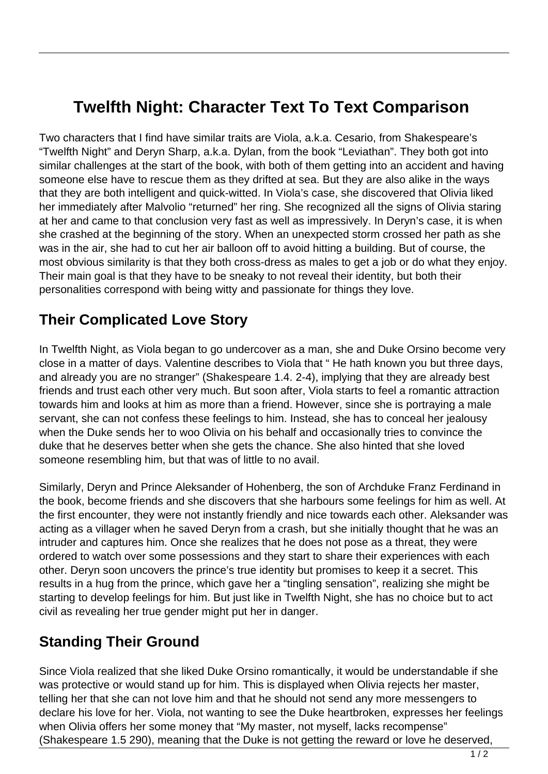## **Twelfth Night: Character Text To Text Comparison**

Two characters that I find have similar traits are Viola, a.k.a. Cesario, from Shakespeare's "Twelfth Night" and Deryn Sharp, a.k.a. Dylan, from the book "Leviathan". They both got into similar challenges at the start of the book, with both of them getting into an accident and having someone else have to rescue them as they drifted at sea. But they are also alike in the ways that they are both intelligent and quick-witted. In Viola's case, she discovered that Olivia liked her immediately after Malvolio "returned" her ring. She recognized all the signs of Olivia staring at her and came to that conclusion very fast as well as impressively. In Deryn's case, it is when she crashed at the beginning of the story. When an unexpected storm crossed her path as she was in the air, she had to cut her air balloon off to avoid hitting a building. But of course, the most obvious similarity is that they both cross-dress as males to get a job or do what they enjoy. Their main goal is that they have to be sneaky to not reveal their identity, but both their personalities correspond with being witty and passionate for things they love.

## **Their Complicated Love Story**

In Twelfth Night, as Viola began to go undercover as a man, she and Duke Orsino become very close in a matter of days. Valentine describes to Viola that " He hath known you but three days, and already you are no stranger" (Shakespeare 1.4. 2-4), implying that they are already best friends and trust each other very much. But soon after, Viola starts to feel a romantic attraction towards him and looks at him as more than a friend. However, since she is portraying a male servant, she can not confess these feelings to him. Instead, she has to conceal her jealousy when the Duke sends her to woo Olivia on his behalf and occasionally tries to convince the duke that he deserves better when she gets the chance. She also hinted that she loved someone resembling him, but that was of little to no avail.

Similarly, Deryn and Prince Aleksander of Hohenberg, the son of Archduke Franz Ferdinand in the book, become friends and she discovers that she harbours some feelings for him as well. At the first encounter, they were not instantly friendly and nice towards each other. Aleksander was acting as a villager when he saved Deryn from a crash, but she initially thought that he was an intruder and captures him. Once she realizes that he does not pose as a threat, they were ordered to watch over some possessions and they start to share their experiences with each other. Deryn soon uncovers the prince's true identity but promises to keep it a secret. This results in a hug from the prince, which gave her a "tingling sensation", realizing she might be starting to develop feelings for him. But just like in Twelfth Night, she has no choice but to act civil as revealing her true gender might put her in danger.

## **Standing Their Ground**

Since Viola realized that she liked Duke Orsino romantically, it would be understandable if she was protective or would stand up for him. This is displayed when Olivia rejects her master, telling her that she can not love him and that he should not send any more messengers to declare his love for her. Viola, not wanting to see the Duke heartbroken, expresses her feelings when Olivia offers her some money that "My master, not myself, lacks recompense" (Shakespeare 1.5 290), meaning that the Duke is not getting the reward or love he deserved,